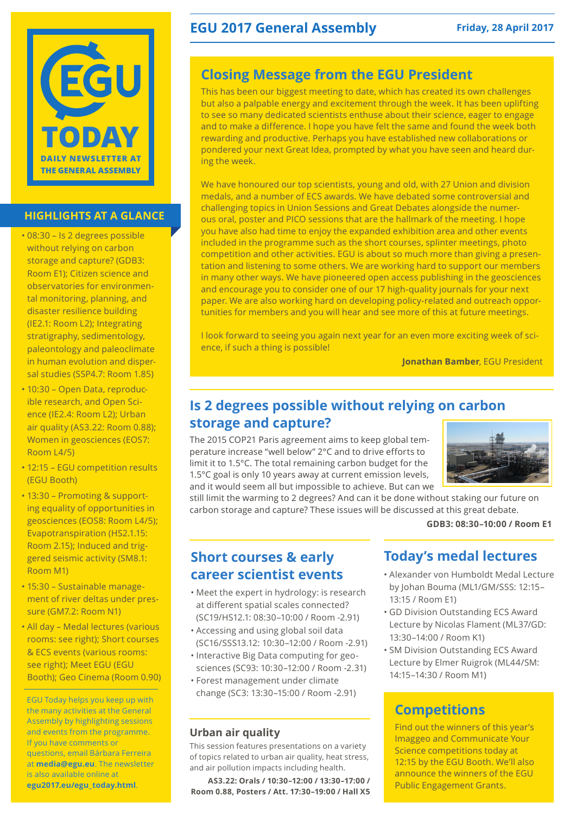

#### **HIGHLIGHTS AT A GLANCE**

- • 08:30 Is 2 degrees possible without relying on carbon storage and capture? (GDB3: Room E1); Citizen science and observatories for environmental monitoring, planning, and disaster resilience building (IE2.1: Room L2); Integrating stratigraphy, sedimentology, paleontology and paleoclimate in human evolution and dispersal studies (SSP4.7: Room 1.85)
- 10:30 Open Data, reproducible research, and Open Science (IE2.4: Room L2); Urban air quality (AS3.22: Room 0.88); Women in geosciences (EOS7: Room L4/5)
- 12:15 EGU competition results (EGU Booth)
- 13:30 Promoting & supporting equality of opportunities in geosciences (EOS8: Room L4/5); Evapotranspiration (HS2.1.15: Room 2.15); Induced and triggered seismic activity (SM8.1: Room M1)
- • 15:30 Sustainable management of river deltas under pressure (GM7.2: Room N1)
- All day Medal lectures (various rooms: see right); Short courses & ECS events (various rooms: see right); Meet EGU (EGU Booth); Geo Cinema (Room 0.90)

EGU Today helps you keep up with the many activities at the General Assembly by highlighting sessions and events from the programme. If you have comments or questions, email Bárbara Ferreira at **media@egu.eu**. The newsletter is also available online at **egu2017.eu/egu\_today.html**.

# **EGU 2017 General Assembly** Friday, 28 April 2017

# **Closing Message from the EGU President**

This has been our biggest meeting to date, which has created its own challenges but also a palpable energy and excitement through the week. It has been uplifting to see so many dedicated scientists enthuse about their science, eager to engage and to make a difference. I hope you have felt the same and found the week both rewarding and productive. Perhaps you have established new collaborations or pondered your next Great Idea, prompted by what you have seen and heard during the week.

We have honoured our top scientists, young and old, with 27 Union and division medals, and a number of ECS awards. We have debated some controversial and challenging topics in Union Sessions and Great Debates alongside the numerous oral, poster and PICO sessions that are the hallmark of the meeting. I hope you have also had time to enjoy the expanded exhibition area and other events included in the programme such as the short courses, splinter meetings, photo competition and other activities. EGU is about so much more than giving a presentation and listening to some others. We are working hard to support our members in many other ways. We have pioneered open access publishing in the geosciences and encourage you to consider one of our 17 high-quality journals for your next paper. We are also working hard on developing policy-related and outreach opportunities for members and you will hear and see more of this at future meetings.

I look forward to seeing you again next year for an even more exciting week of science, if such a thing is possible!

**Jonathan Bamber**, EGU President

# **Is 2 degrees possible without relying on carbon storage and capture?**

The 2015 COP21 Paris agreement aims to keep global temperature increase "well below" 2°C and to drive efforts to limit it to 1.5°C. The total remaining carbon budget for the 1.5°C goal is only 10 years away at current emission levels, and it would seem all but impossible to achieve. But can we



still limit the warming to 2 degrees? And can it be done without staking our future on carbon storage and capture? These issues will be discussed at this great debate.

**GDB3: 08:30–10:00 / Room E1**

### **Short courses & early career scientist events**

- • Meet the expert in hydrology: is research at different spatial scales connected? (SC19/HS12.1: 08:30–10:00 / Room -2.91)
- • Accessing and using global soil data (SC16/SSS13.12: 10:30–12:00 / Room -2.91)
- Interactive Big Data computing for geosciences (SC93: 10:30–12:00 / Room -2.31) • Forest management under climate
- change (SC3: 13:30–15:00 / Room -2.91)

#### **Urban air quality**

This session features presentations on a variety of topics related to urban air quality, heat stress, and air pollution impacts including health.

**AS3.22: Orals / 10:30–12:00 / 13:30–17:00 / Room 0.88, Posters / Att. 17:30–19:00 / Hall X5** 

# **Today's medal lectures**

- • Alexander von Humboldt Medal Lecture by Johan Bouma (ML1/GM/SSS: 12:15– 13:15 / Room E1)
- • GD Division Outstanding ECS Award Lecture by Nicolas Flament (ML37/GD: 13:30–14:00 / Room K1)
- • SM Division Outstanding ECS Award Lecture by Elmer Ruigrok (ML44/SM: 14:15–14:30 / Room M1)

# **Competitions**

Find out the winners of this year's Imaggeo and Communicate Your Science competitions today at 12:15 by the EGU Booth. We'll also announce the winners of the EGU Public Engagement Grants.